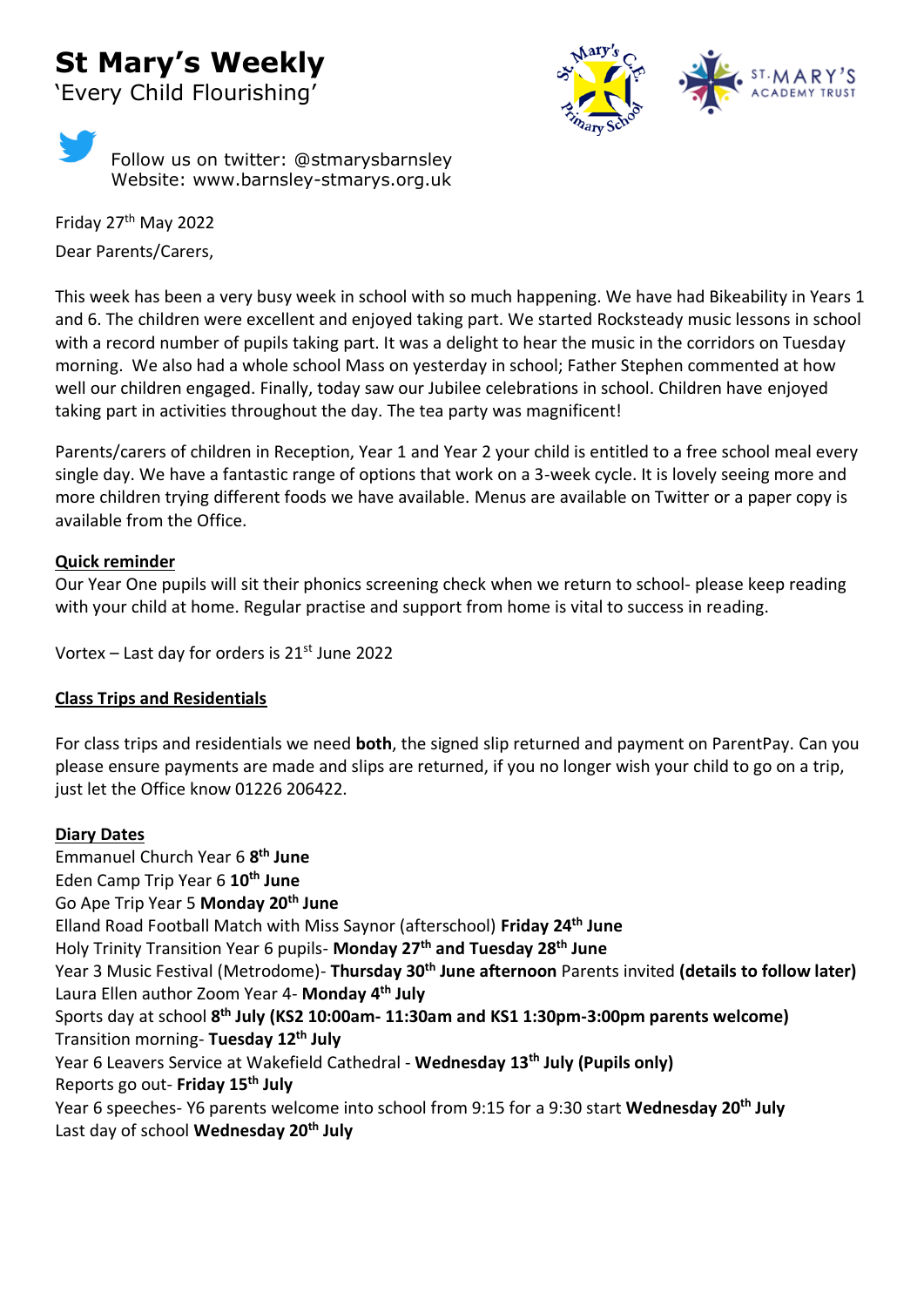# **St Mary's Weekly**

'Every Child Flourishing'



Follow us on twitter: @stmarysbarnsley Website: www.barnsley-stmarys.org.uk

Friday 27th May 2022 Dear Parents/Carers,

This week has been a very busy week in school with so much happening. We have had Bikeability in Years 1 and 6. The children were excellent and enjoyed taking part. We started Rocksteady music lessons in school with a record number of pupils taking part. It was a delight to hear the music in the corridors on Tuesday morning. We also had a whole school Mass on yesterday in school; Father Stephen commented at how well our children engaged. Finally, today saw our Jubilee celebrations in school. Children have enjoyed taking part in activities throughout the day. The tea party was magnificent!

Parents/carers of children in Reception, Year 1 and Year 2 your child is entitled to a free school meal every single day. We have a fantastic range of options that work on a 3-week cycle. It is lovely seeing more and more children trying different foods we have available. Menus are available on Twitter or a paper copy is available from the Office.

### **Quick reminder**

Our Year One pupils will sit their phonics screening check when we return to school- please keep reading with your child at home. Regular practise and support from home is vital to success in reading.

Vortex – Last day for orders is  $21^{st}$  June 2022

### **Class Trips and Residentials**

For class trips and residentials we need **both**, the signed slip returned and payment on ParentPay. Can you please ensure payments are made and slips are returned, if you no longer wish your child to go on a trip, just let the Office know 01226 206422.

### **Diary Dates**

Emmanuel Church Year 6 **8 th June** Eden Camp Trip Year 6 **10th June** Go Ape Trip Year 5 **Monday 20th June** Elland Road Football Match with Miss Saynor (afterschool) **Friday 24th June**  Holy Trinity Transition Year 6 pupils- **Monday 27th and Tuesday 28th June**  Year 3 Music Festival (Metrodome)- **Thursday 30th June afternoon** Parents invited **(details to follow later)**  Laura Ellen author Zoom Year 4- **Monday 4th July**  Sports day at school **8 th July (KS2 10:00am- 11:30am and KS1 1:30pm-3:00pm parents welcome)** Transition morning- **Tuesday 12th July**  Year 6 Leavers Service at Wakefield Cathedral - **Wednesday 13th July (Pupils only)** Reports go out- **Friday 15th July**  Year 6 speeches- Y6 parents welcome into school from 9:15 for a 9:30 start **Wednesday 20th July** Last day of school **Wednesday 20th July**